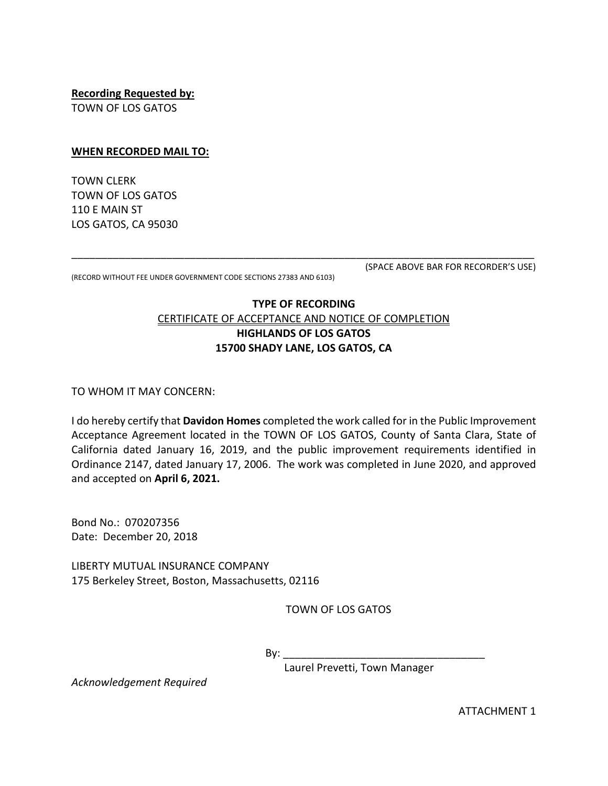**Recording Requested by:** TOWN OF LOS GATOS

## **WHEN RECORDED MAIL TO:**

TOWN CLERK TOWN OF LOS GATOS 110 E MAIN ST LOS GATOS, CA 95030

(RECORD WITHOUT FEE UNDER GOVERNMENT CODE SECTIONS 27383 AND 6103)

(SPACE ABOVE BAR FOR RECORDER'S USE)

## **TYPE OF RECORDING** CERTIFICATE OF ACCEPTANCE AND NOTICE OF COMPLETION **HIGHLANDS OF LOS GATOS 15700 SHADY LANE, LOS GATOS, CA**

\_\_\_\_\_\_\_\_\_\_\_\_\_\_\_\_\_\_\_\_\_\_\_\_\_\_\_\_\_\_\_\_\_\_\_\_\_\_\_\_\_\_\_\_\_\_\_\_\_\_\_\_\_\_\_\_\_\_\_\_\_\_\_\_\_\_\_\_\_\_\_\_\_\_\_\_\_\_

TO WHOM IT MAY CONCERN:

I do hereby certify that **Davidon Homes** completed the work called for in the Public Improvement Acceptance Agreement located in the TOWN OF LOS GATOS, County of Santa Clara, State of California dated January 16, 2019, and the public improvement requirements identified in Ordinance 2147, dated January 17, 2006. The work was completed in June 2020, and approved and accepted on **April 6, 2021.**

Bond No.: 070207356 Date: December 20, 2018

LIBERTY MUTUAL INSURANCE COMPANY 175 Berkeley Street, Boston, Massachusetts, 02116

TOWN OF LOS GATOS

 $By:$ 

Laurel Prevetti, Town Manager

*Acknowledgement Required*

ATTACHMENT 1